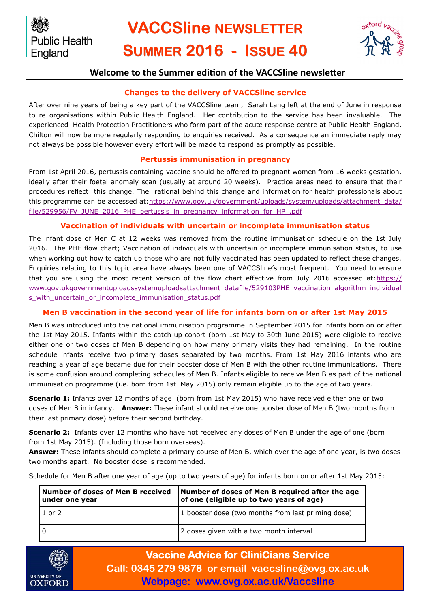# **VACCSline NEWSLETTER SUMMER 2016 - ISSUE 40**



## **Welcome to the Summer edition of the VACCSline newsletter**

## **Changes to the delivery of VACCSline service**

After over nine years of being a key part of the VACCSline team, Sarah Lang left at the end of June in response to re organisations within Public Health England. Her contribution to the service has been invaluable. The experienced Health Protection Practitioners who form part of the acute response centre at Public Health England, Chilton will now be more regularly responding to enquiries received. As a consequence an immediate reply may not always be possible however every effort will be made to respond as promptly as possible.

## **Pertussis immunisation in pregnancy**

From 1st April 2016, pertussis containing vaccine should be offered to pregnant women from 16 weeks gestation, ideally after their foetal anomaly scan (usually at around 20 weeks). Practice areas need to ensure that their procedures reflect this change. The rational behind this change and information for health professionals about this programme can be accessed at[:https://www.gov.uk/government/uploads/system/uploads/attachment\\_data/](https://www.gov.uk/government/uploads/system/uploads/attachment_data/file/529956/FV_JUNE_2016_PHE_pertussis_in_pregnancy_information_for_HP_.pdf) [file/529956/FV\\_JUNE\\_2016\\_PHE\\_pertussis\\_in\\_pregnancy\\_information\\_for\\_HP\\_.pdf](https://www.gov.uk/government/uploads/system/uploads/attachment_data/file/529956/FV_JUNE_2016_PHE_pertussis_in_pregnancy_information_for_HP_.pdf)

## **Vaccination of individuals with uncertain or incomplete immunisation status**

The infant dose of Men C at 12 weeks was removed from the routine immunisation schedule on the 1st July 2016. The PHE flow chart; Vaccination of individuals with uncertain or incomplete immunisation status, to use when working out how to catch up those who are not fully vaccinated has been updated to reflect these changes. Enquiries relating to this topic area have always been one of VACCSline's most frequent. You need to ensure that you are using the most recent version of the flow chart effective from July 2016 accessed at: [https://](https://www.gov.uk/government/uploads/system/uploads/attachment_data/file/529103/PHE_vaccination_algorithm_individuals_with_uncertain_or_incomplete_immunisation_status.pdf) [www.gov.ukgovernmentuploadssystemuploadsattachment\\_datafile/529103PHE\\_vaccination\\_algorithm\\_individual](https://www.gov.uk/government/uploads/system/uploads/attachment_data/file/529103/PHE_vaccination_algorithm_individuals_with_uncertain_or_incomplete_immunisation_status.pdf) [s\\_with\\_uncertain\\_or\\_incomplete\\_immunisation\\_status.pdf](https://www.gov.uk/government/uploads/system/uploads/attachment_data/file/529103/PHE_vaccination_algorithm_individuals_with_uncertain_or_incomplete_immunisation_status.pdf)

## **Men B vaccination in the second year of life for infants born on or after 1st May 2015**

Men B was introduced into the national immunisation programme in September 2015 for infants born on or after the 1st May 2015. Infants within the catch up cohort (born 1st May to 30th June 2015) were eligible to receive either one or two doses of Men B depending on how many primary visits they had remaining. In the routine schedule infants receive two primary doses separated by two months. From 1st May 2016 infants who are reaching a year of age became due for their booster dose of Men B with the other routine immunisations. There is some confusion around completing schedules of Men B. Infants eligible to receive Men B as part of the national immunisation programme (i.e. born from 1st May 2015) only remain eligible up to the age of two years.

**Scenario 1:** Infants over 12 months of age (born from 1st May 2015) who have received either one or two doses of Men B in infancy. **Answer:** These infant should receive one booster dose of Men B (two months from their last primary dose) before their second birthday.

**Scenario 2:** Infants over 12 months who have not received any doses of Men B under the age of one (born from 1st May 2015). (Including those born overseas).

**Answer:** These infants should complete a primary course of Men B, which over the age of one year, is two doses two months apart. No booster dose is recommended.

Schedule for Men B after one year of age (up to two years of age) for infants born on or after 1st May 2015:

| Number of doses of Men B received<br>under one year | Number of doses of Men B required after the age<br>of one (eligible up to two years of age) |
|-----------------------------------------------------|---------------------------------------------------------------------------------------------|
| $1$ or $2$                                          | 1 booster dose (two months from last priming dose)                                          |
|                                                     | 2 doses given with a two month interval                                                     |



**Vaccine Advice for CliniCians Service Call: 0345 279 9878 or email vaccsline@ovg.ox.ac.uk Webpage: www.ovg.ox.ac.uk/Vaccsline**